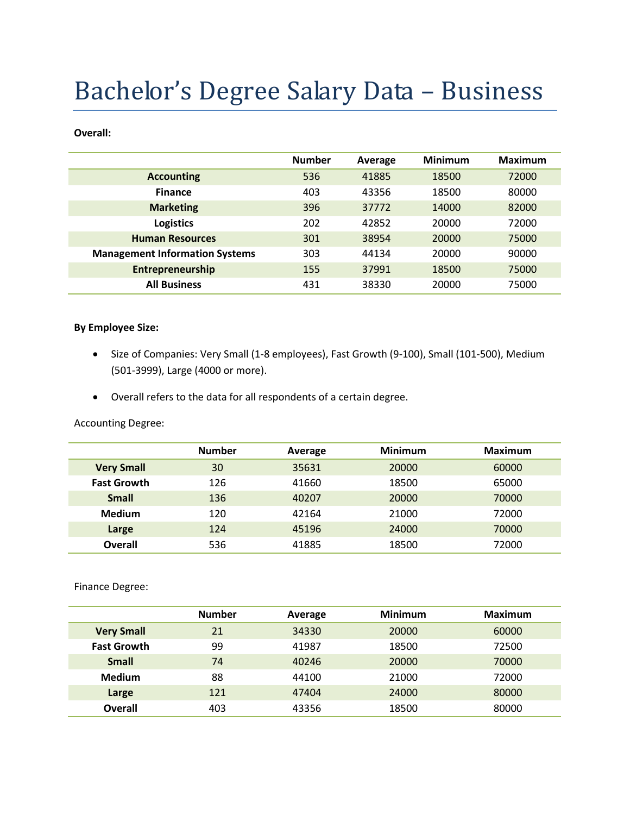# Bachelor's Degree Salary Data – Business

#### **Overall:**

|                                       | <b>Number</b> | Average | <b>Minimum</b> | <b>Maximum</b> |
|---------------------------------------|---------------|---------|----------------|----------------|
| <b>Accounting</b>                     | 536           | 41885   | 18500          | 72000          |
| <b>Finance</b>                        | 403           | 43356   | 18500          | 80000          |
| <b>Marketing</b>                      | 396           | 37772   | 14000          | 82000          |
| <b>Logistics</b>                      | 202           | 42852   | 20000          | 72000          |
| <b>Human Resources</b>                | 301           | 38954   | 20000          | 75000          |
| <b>Management Information Systems</b> | 303           | 44134   | 20000          | 90000          |
| Entrepreneurship                      | 155           | 37991   | 18500          | 75000          |
| <b>All Business</b>                   | 431           | 38330   | 20000          | 75000          |

#### **By Employee Size:**

- Size of Companies: Very Small (1-8 employees), Fast Growth (9-100), Small (101-500), Medium (501-3999), Large (4000 or more).
- Overall refers to the data for all respondents of a certain degree.

Accounting Degree:

|                    | <b>Number</b> | Average | <b>Minimum</b> | <b>Maximum</b> |
|--------------------|---------------|---------|----------------|----------------|
| <b>Very Small</b>  | 30            | 35631   | 20000          | 60000          |
| <b>Fast Growth</b> | 126           | 41660   | 18500          | 65000          |
| <b>Small</b>       | 136           | 40207   | 20000          | 70000          |
| <b>Medium</b>      | 120           | 42164   | 21000          | 72000          |
| Large              | 124           | 45196   | 24000          | 70000          |
| <b>Overall</b>     | 536           | 41885   | 18500          | 72000          |

Finance Degree:

|                    | <b>Number</b> | Average | <b>Minimum</b> | Maximum |
|--------------------|---------------|---------|----------------|---------|
| <b>Very Small</b>  | 21            | 34330   | 20000          | 60000   |
| <b>Fast Growth</b> | 99            | 41987   | 18500          | 72500   |
| <b>Small</b>       | 74            | 40246   | 20000          | 70000   |
| <b>Medium</b>      | 88            | 44100   | 21000          | 72000   |
| Large              | 121           | 47404   | 24000          | 80000   |
| Overall            | 403           | 43356   | 18500          | 80000   |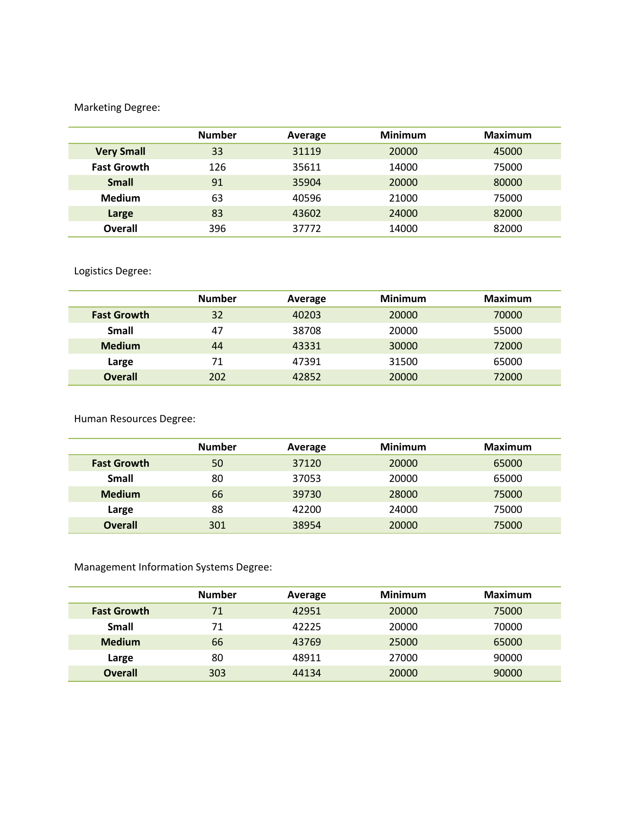## Marketing Degree:

|                    | <b>Number</b> | Average | <b>Minimum</b> | <b>Maximum</b> |
|--------------------|---------------|---------|----------------|----------------|
| <b>Very Small</b>  | 33            | 31119   | 20000          | 45000          |
| <b>Fast Growth</b> | 126           | 35611   | 14000          | 75000          |
| <b>Small</b>       | 91            | 35904   | 20000          | 80000          |
| <b>Medium</b>      | 63            | 40596   | 21000          | 75000          |
| Large              | 83            | 43602   | 24000          | 82000          |
| Overall            | 396           | 37772   | 14000          | 82000          |

Logistics Degree:

|                    | <b>Number</b> | Average | <b>Minimum</b> | <b>Maximum</b> |
|--------------------|---------------|---------|----------------|----------------|
| <b>Fast Growth</b> | 32            | 40203   | 20000          | 70000          |
| Small              | 47            | 38708   | 20000          | 55000          |
| <b>Medium</b>      | 44            | 43331   | 30000          | 72000          |
| Large              | 71            | 47391   | 31500          | 65000          |
| <b>Overall</b>     | 202           | 42852   | 20000          | 72000          |

Human Resources Degree:

|                    | <b>Number</b> | Average | <b>Minimum</b> | Maximum |
|--------------------|---------------|---------|----------------|---------|
| <b>Fast Growth</b> | 50            | 37120   | 20000          | 65000   |
| <b>Small</b>       | 80            | 37053   | 20000          | 65000   |
| <b>Medium</b>      | 66            | 39730   | 28000          | 75000   |
| Large              | 88            | 42200   | 24000          | 75000   |
| <b>Overall</b>     | 301           | 38954   | 20000          | 75000   |

Management Information Systems Degree:

|                    | <b>Number</b> | Average | <b>Minimum</b> | <b>Maximum</b> |
|--------------------|---------------|---------|----------------|----------------|
| <b>Fast Growth</b> | 71            | 42951   | 20000          | 75000          |
| <b>Small</b>       | 71            | 42225   | 20000          | 70000          |
| <b>Medium</b>      | 66            | 43769   | 25000          | 65000          |
| Large              | 80            | 48911   | 27000          | 90000          |
| <b>Overall</b>     | 303           | 44134   | 20000          | 90000          |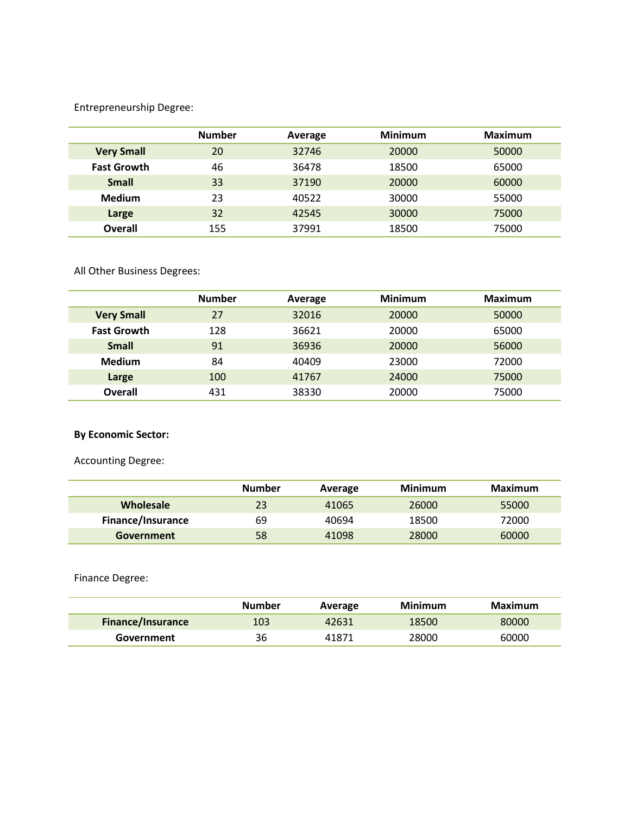Entrepreneurship Degree:

|                    | <b>Number</b> | Average | <b>Minimum</b> | Maximum |
|--------------------|---------------|---------|----------------|---------|
| <b>Very Small</b>  | 20            | 32746   | 20000          | 50000   |
| <b>Fast Growth</b> | 46            | 36478   | 18500          | 65000   |
| <b>Small</b>       | 33            | 37190   | 20000          | 60000   |
| <b>Medium</b>      | 23            | 40522   | 30000          | 55000   |
| Large              | 32            | 42545   | 30000          | 75000   |
| <b>Overall</b>     | 155           | 37991   | 18500          | 75000   |

All Other Business Degrees:

|                    | <b>Number</b> | Average | <b>Minimum</b> | <b>Maximum</b> |
|--------------------|---------------|---------|----------------|----------------|
| <b>Very Small</b>  | 27            | 32016   | 20000          | 50000          |
| <b>Fast Growth</b> | 128           | 36621   | 20000          | 65000          |
| <b>Small</b>       | 91            | 36936   | 20000          | 56000          |
| <b>Medium</b>      | 84            | 40409   | 23000          | 72000          |
| Large              | 100           | 41767   | 24000          | 75000          |
| Overall            | 431           | 38330   | 20000          | 75000          |

## **By Economic Sector:**

Accounting Degree:

|                   | <b>Number</b> | Average | Minimum | Maximum |
|-------------------|---------------|---------|---------|---------|
| Wholesale         | 23            | 41065   | 26000   | 55000   |
| Finance/Insurance | 69            | 40694   | 18500   | 72000   |
| Government        | 58            | 41098   | 28000   | 60000   |

Finance Degree:

|                          | Number | Average | Minimum | Maximum |
|--------------------------|--------|---------|---------|---------|
| <b>Finance/Insurance</b> | 103    | 42631   | 18500   | 80000   |
| Government               | 36     | 41871   | 28000   | 60000   |